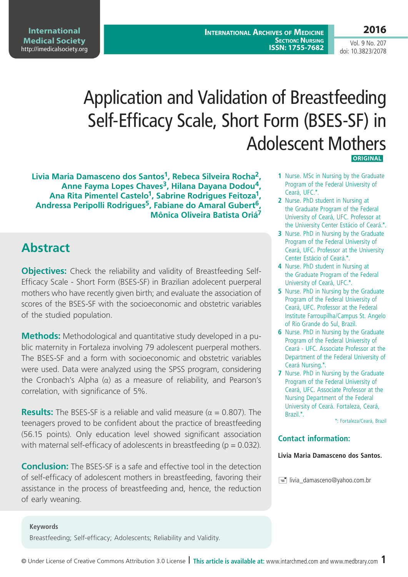# Application and Validation of Breastfeeding Self-Efficacy Scale, Short Form (BSES-SF) in Adolescent Mothers **ORIGINAL**

**Livia Maria Damasceno dos Santos1, Rebeca Silveira Rocha2, Anne Fayma Lopes Chaves3, Hilana Dayana Dodou4,**  Ana Rita Pimentel Castelo<sup>1</sup>, Sabrine Rodrigues Feitoza<sup>1</sup>, **Andressa Peripolli Rodrigues5, Fabiane do Amaral Gubert6, Mônica Oliveira Batista Oriá7**

## **Abstract**

**Objectives:** Check the reliability and validity of Breastfeeding Self-Efficacy Scale - Short Form (BSES-SF) in Brazilian adolecent puerperal mothers who have recently given birth; and evaluate the association of scores of the BSES-SF with the socioeconomic and obstetric variables of the studied population.

**Methods:** Methodological and quantitative study developed in a public maternity in Fortaleza involving 79 adolescent puerperal mothers. The BSES-SF and a form with socioeconomic and obstetric variables were used. Data were analyzed using the SPSS program, considering the Cronbach's Alpha (α) as a measure of reliability, and Pearson's correlation, with significance of 5%.

**Results:** The BSES-SF is a reliable and valid measure ( $\alpha = 0.807$ ). The teenagers proved to be confident about the practice of breastfeeding (56.15 points). Only education level showed significant association with maternal self-efficacy of adolescents in breastfeeding ( $p = 0.032$ ).

**Conclusion:** The BSES-SF is a safe and effective tool in the detection of self-efficacy of adolescent mothers in breastfeeding, favoring their assistance in the process of breastfeeding and, hence, the reduction of early weaning.

#### **1** Nurse. MSc in Nursing by the Graduate Program of the Federal University of Ceará, UFC.\*.

- **2** Nurse. PhD student in Nursing at the Graduate Program of the Federal University of Ceará, UFC. Professor at the University Center Estácio of Ceará.\*.
- **3** Nurse. PhD in Nursing by the Graduate Program of the Federal University of Ceará, UFC. Professor at the University Center Estácio of Ceará.\*.
- **4** Nurse. PhD student in Nursing at the Graduate Program of the Federal University of Ceará, UFC.\*.
- **5** Nurse. PhD in Nursing by the Graduate Program of the Federal University of Ceará, UFC. Professor at the Federal Institute Farroupilha/Campus St. Angelo of Rio Grande do Sul, Brazil.
- **6** Nurse. PhD in Nursing by the Graduate Program of the Federal University of Ceará - UFC. Associate Professor at the Department of the Federal University of Ceará Nursing.\*.
- **7** Nurse. PhD in Nursing by the Graduate Program of the Federal University of Ceará, UFC. Associate Professor at the Nursing Department of the Federal University of Ceará. Fortaleza, Ceará, Brazil.\*.

\*: Fortaleza/Ceará, Brazil

#### **Contact information:**

#### **Livia Maria Damasceno dos Santos.**

 $\equiv$  livia damasceno@yahoo.com.br

**Keywords** Breastfeeding; Self-efficacy; Adolescents; Reliability and Validity.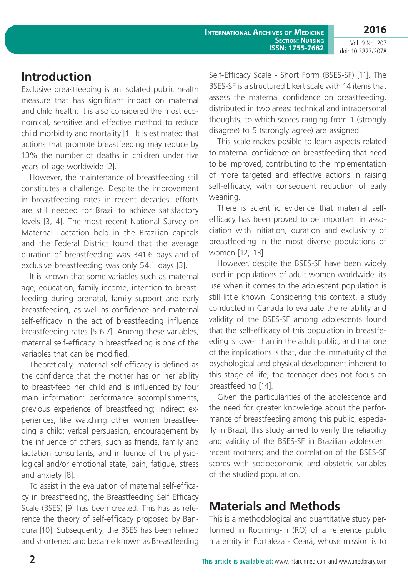#### **Introduction**

Exclusive breastfeeding is an isolated public health measure that has significant impact on maternal and child health. It is also considered the most economical, sensitive and effective method to reduce child morbidity and mortality [1]. It is estimated that actions that promote breastfeeding may reduce by 13% the number of deaths in children under five years of age worldwide [2].

However, the maintenance of breastfeeding still constitutes a challenge. Despite the improvement in breastfeeding rates in recent decades, efforts are still needed for Brazil to achieve satisfactory levels [3, 4]. The most recent National Survey on Maternal Lactation held in the Brazilian capitals and the Federal District found that the average duration of breastfeeding was 341.6 days and of exclusive breastfeeding was only 54.1 days [3].

It is known that some variables such as maternal age, education, family income, intention to breastfeeding during prenatal, family support and early breastfeeding, as well as confidence and maternal self-efficacy in the act of breastfeeding influence breastfeeding rates [5 6,7]. Among these variables, maternal self-efficacy in breastfeeding is one of the variables that can be modified.

Theoretically, maternal self-efficacy is defined as the confidence that the mother has on her ability to breast-feed her child and is influenced by four main information: performance accomplishments, previous experience of breastfeeding; indirect experiences, like watching other women breastfeeding a child; verbal persuasion, encouragement by the influence of others, such as friends, family and lactation consultants; and influence of the physiological and/or emotional state, pain, fatigue, stress and anxiety [8].

To assist in the evaluation of maternal self-efficacy in breastfeeding, the Breastfeeding Self Efficacy Scale (BSES) [9] has been created. This has as reference the theory of self-efficacy proposed by Bandura [10]. Subsequently, the BSES has been refined and shortened and became known as Breastfeeding

Self-Efficacy Scale - Short Form (BSES-SF) [11]. The BSES-SF is a structured Likert scale with 14 items that assess the maternal confidence on breastfeeding, distributed in two areas: technical and intrapersonal thoughts, to which scores ranging from 1 (strongly disagree) to 5 (strongly agree) are assigned.

This scale makes posible to learn aspects related to maternal confidence on breastfeeding that need to be improved, contributing to the implementation of more targeted and effective actions in raising self-efficacy, with consequent reduction of early weaning.

There is scientific evidence that maternal selfefficacy has been proved to be important in association with initiation, duration and exclusivity of breastfeeding in the most diverse populations of women [12, 13].

However, despite the BSES-SF have been widely used in populations of adult women worldwide, its use when it comes to the adolescent population is still little known. Considering this context, a study conducted in Canada to evaluate the reliability and validity of the BSES-SF among adolescents found that the self-efficacy of this population in breastfeeding is lower than in the adult public, and that one of the implications is that, due the immaturity of the psychological and physical development inherent to this stage of life, the teenager does not focus on breastfeeding [14].

Given the particularities of the adolescence and the need for greater knowledge about the performance of breastfeeding among this public, especially in Brazil, this study aimed to verify the reliability and validity of the BSES-SF in Brazilian adolescent recent mothers; and the correlation of the BSES-SF scores with socioeconomic and obstetric variables of the studied population.

### **Materials and Methods**

This is a methodological and quantitative study performed in Rooming-in (RO) of a reference public maternity in Fortaleza - Ceará, whose mission is to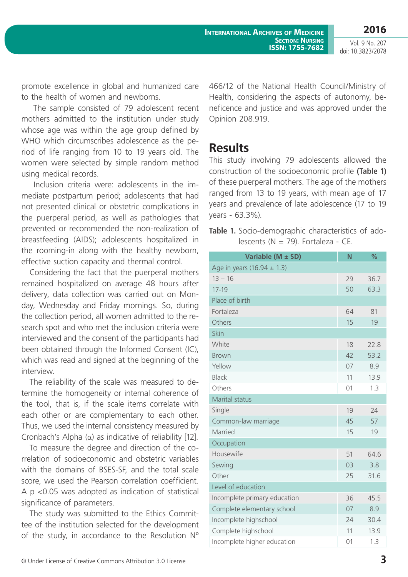promote excellence in global and humanized care to the health of women and newborns.

 The sample consisted of 79 adolescent recent mothers admitted to the institution under study whose age was within the age group defined by WHO which circumscribes adolescence as the period of life ranging from 10 to 19 years old. The women were selected by simple random method using medical records.

 Inclusion criteria were: adolescents in the immediate postpartum period; adolescents that had not presented clinical or obstetric complications in the puerperal period, as well as pathologies that prevented or recommended the non-realization of breastfeeding (AIDS); adolescents hospitalized in the rooming-in along with the healthy newborn, effective suction capacity and thermal control.

Considering the fact that the puerperal mothers remained hospitalized on average 48 hours after delivery, data collection was carried out on Monday, Wednesday and Friday mornings. So, during the collection period, all women admitted to the research spot and who met the inclusion criteria were interviewed and the consent of the participants had been obtained through the Informed Consent (IC), which was read and signed at the beginning of the interview.

The reliability of the scale was measured to determine the homogeneity or internal coherence of the tool, that is, if the scale items correlate with each other or are complementary to each other. Thus, we used the internal consistency measured by Cronbach's Alpha (α) as indicative of reliability [12].

To measure the degree and direction of the correlation of socioeconomic and obstetric variables with the domains of BSES-SF, and the total scale score, we used the Pearson correlation coefficient. A p <0.05 was adopted as indication of statistical significance of parameters.

The study was submitted to the Ethics Committee of the institution selected for the development of the study, in accordance to the Resolution Nº 466/12 of the National Health Council/Ministry of Health, considering the aspects of autonomy, beneficence and justice and was approved under the Opinion 208.919.

#### **Results**

This study involving 79 adolescents allowed the construction of the socioeconomic profile **(Table 1)** of these puerperal mothers. The age of the mothers ranged from 13 to 19 years, with mean age of 17 years and prevalence of late adolescence (17 to 19 years - 63.3%).

**Table 1.** Socio-demographic characteristics of adolescents ( $N = 79$ ). Fortaleza - CE.

| Variable (M ± SD)              | N  | $\frac{9}{6}$ |
|--------------------------------|----|---------------|
| Age in years (16.94 $\pm$ 1.3) |    |               |
| $13 - 16$                      | 29 | 36.7          |
| $17 - 19$                      | 50 | 63.3          |
| Place of birth                 |    |               |
| Fortaleza                      | 64 | 81            |
| Others                         | 15 | 19            |
| Skin                           |    |               |
| White                          | 18 | 72.8          |
| <b>Brown</b>                   | 42 | 53.2          |
| Yellow                         | 07 | 8.9           |
| <b>Black</b>                   | 11 | 13.9          |
| Others                         | 01 | 1.3           |
| Marital status                 |    |               |
| Single                         | 19 | 24            |
| Common-law marriage            | 45 | 57            |
| Married                        | 15 | 19            |
| Occupation                     |    |               |
| Housewife                      | 51 | 64.6          |
| Sewing                         | 03 | 3.8           |
| Other                          | 25 | 31.6          |
| Level of education             |    |               |
| Incomplete primary education   | 36 | 45.5          |
| Complete elementary school     | 07 | 8.9           |
| Incomplete highschool          | 24 | 30.4          |
| Complete highschool            | 11 | 13.9          |
| Incomplete higher education    | 01 | 1.3           |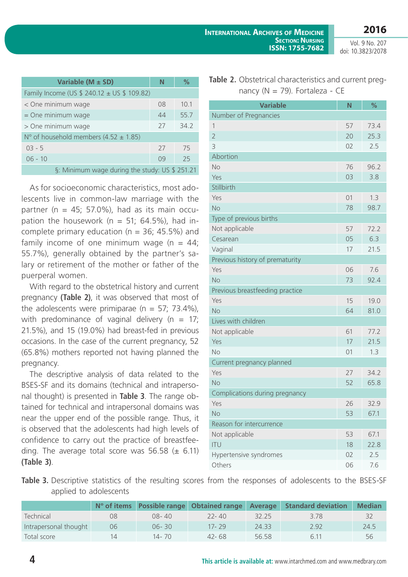| Variable (M ± SD)                              | N  | $\%$ |  |  |  |  |
|------------------------------------------------|----|------|--|--|--|--|
| Family Income (US \$ 240.12 ± US \$ 109.82)    |    |      |  |  |  |  |
| < One minimum wage                             | 08 | 10.1 |  |  |  |  |
| $=$ One minimum wage                           | 44 | 55.7 |  |  |  |  |
| > One minimum wage                             | 27 | 34.2 |  |  |  |  |
| N° of household members (4.52 $\pm$ 1.85)      |    |      |  |  |  |  |
| $03 - 5$                                       | 27 | 75   |  |  |  |  |
| $06 - 10$                                      | 09 | 25   |  |  |  |  |
| §: Minimum wage during the study: US \$ 251.21 |    |      |  |  |  |  |

As for socioeconomic characteristics, most adolescents live in common-law marriage with the partner ( $n = 45$ ; 57.0%), had as its main occupation the housework ( $n = 51$ ; 64.5%), had incomplete primary education ( $n = 36$ ; 45.5%) and family income of one minimum wage  $(n = 44)$ ; 55.7%), generally obtained by the partner's salary or retirement of the mother or father of the puerperal women.

With regard to the obstetrical history and current pregnancy **(Table 2)**, it was observed that most of the adolescents were primiparae ( $n = 57$ ; 73.4%), with predominance of vaginal delivery ( $n = 17$ ; 21.5%), and 15 (19.0%) had breast-fed in previous occasions. In the case of the current pregnancy, 52 (65.8%) mothers reported not having planned the pregnancy.

The descriptive analysis of data related to the BSES-SF and its domains (technical and intrapersonal thought) is presented in **Table 3**. The range obtained for technical and intrapersonal domains was near the upper end of the possible range. Thus, it is observed that the adolescents had high levels of confidence to carry out the practice of breastfeeding. The average total score was  $56.58 \ (\pm \ 6.11)$ **(Table 3)**.

| <b>Table 2.</b> Obstetrical characteristics and current preg- |
|---------------------------------------------------------------|
| nancy ( $N = 79$ ). Fortaleza - CE                            |

| <b>Variable</b>                 | N  | %    |
|---------------------------------|----|------|
| Number of Pregnancies           |    |      |
| 1                               | 57 | 73.4 |
| $\overline{2}$                  | 20 | 25.3 |
| 3                               | 02 | 2.5  |
| Abortion                        |    |      |
| No                              | 76 | 96.2 |
| Yes                             | 03 | 3.8  |
| Stillbirth                      |    |      |
| Yes                             | 01 | 1.3  |
| <b>No</b>                       | 78 | 98.7 |
| Type of previous births         |    |      |
| Not applicable                  | 57 | 72.2 |
| Cesarean                        | 05 | 6.3  |
| Vaginal                         | 17 | 21.5 |
| Previous history of prematurity |    |      |
| Yes                             | 06 | 7.6  |
| <b>No</b>                       | 73 | 92.4 |
| Previous breastfeeding practice |    |      |
| Yes                             | 15 | 19.0 |
| <b>No</b>                       | 64 | 81.0 |
| Lives with children             |    |      |
| Not applicable                  | 61 | 77.2 |
| Yes                             | 17 | 21.5 |
| <b>No</b>                       | 01 | 1.3  |
| Current pregnancy planned       |    |      |
| Yes                             | 27 | 34.2 |
| <b>No</b>                       | 52 | 65.8 |
| Complications during pregnancy  |    |      |
| Yes                             | 26 | 32.9 |
| <b>No</b>                       | 53 | 67.1 |
| Reason for intercurrence        |    |      |
| Not applicable                  | 53 | 67.1 |
| <b>ITU</b>                      | 18 | 22.8 |
| Hypertensive syndromes          | 02 | 2.5  |
| Others                          | 06 | 7.6  |

Table 3. Descriptive statistics of the resulting scores from the responses of adolescents to the BSES-SF applied to adolescents

|                       |    |           | N° of items Possible range Obtained range Average |       | <b>Standard deviation</b> | <b>Median</b> |
|-----------------------|----|-----------|---------------------------------------------------|-------|---------------------------|---------------|
| Technical             | 08 | 08-40     | $22 - 40$                                         | 32.25 | 3.78                      |               |
| Intrapersonal thought | 06 | $06 - 30$ | $17 - 29$                                         | 24.33 | 2.92                      | 24.5          |
| Total score           | 1Δ | 14 - 70   | 42-68                                             | 56.58 | 6.11                      | 56            |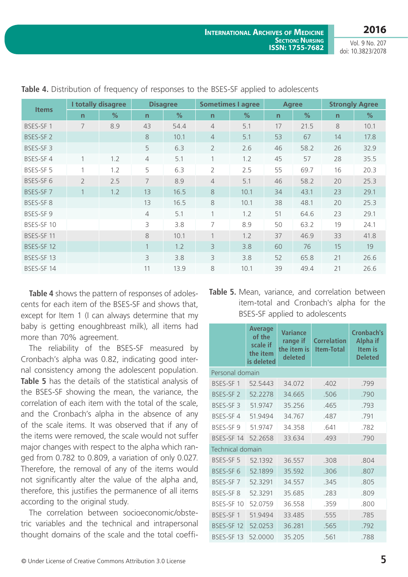| <b>Items</b>         | I totally disagree<br><b>Disagree</b> |               | <b>Sometimes I agree</b> |      | <b>Agree</b>            |               | <b>Strongly Agree</b> |      |              |               |
|----------------------|---------------------------------------|---------------|--------------------------|------|-------------------------|---------------|-----------------------|------|--------------|---------------|
|                      | $\mathsf{n}$                          | $\frac{1}{2}$ | n                        | %    | $\mathsf{n}$            | $\frac{9}{6}$ | $\mathsf{n}$          | %    | $\mathsf{n}$ | $\frac{0}{2}$ |
| BSES-SF 1            | 7                                     | 8.9           | 43                       | 54.4 | $\overline{4}$          | 5.1           | 17                    | 21.5 | 8            | 10.1          |
| BSES-SF <sub>2</sub> |                                       |               | 8                        | 10.1 | $\overline{4}$          | 5.1           | 53                    | 67   | 14           | 17.8          |
| BSES-SF3             |                                       |               | 5                        | 6.3  | $\overline{2}$          | 2.6           | 46                    | 58.2 | 26           | 32.9          |
| BSES-SF4             | 1                                     | 1.2           | $\overline{4}$           | 5.1  | 1                       | 1.2           | 45                    | 57   | 28           | 35.5          |
| BSES-SF 5            | 1                                     | 1.2           | 5                        | 6.3  | $\overline{2}$          | 2.5           | 55                    | 69.7 | 16           | 20.3          |
| BSES-SF6             | $\overline{2}$                        | 2.5           | $\overline{7}$           | 8.9  | $\overline{4}$          | 5.1           | 46                    | 58.2 | 20           | 25.3          |
| BSES-SF7             | $\mathbf{1}$                          | 1.2           | 13                       | 16.5 | 8                       | 10.1          | 34                    | 43.1 | 23           | 29.1          |
| BSES-SF8             |                                       |               | 13                       | 16.5 | $\,8\,$                 | 10.1          | 38                    | 48.1 | 20           | 25.3          |
| BSES-SF 9            |                                       |               | $\overline{4}$           | 5.1  | $\mathbf{1}$            | 1.2           | 51                    | 64.6 | 23           | 29.1          |
| BSES-SF 10           |                                       |               | 3                        | 3.8  | 7                       | 8.9           | 50                    | 63.2 | 19           | 24.1          |
| BSES-SF 11           |                                       |               | 8                        | 10.1 | 1                       | 1.2           | 37                    | 46.9 | 33           | 41.8          |
| BSES-SF 12           |                                       |               | $\mathbf{1}$             | 1.2  | $\overline{\mathbf{3}}$ | 3.8           | 60                    | 76   | 15           | 19            |
| BSES-SF 13           |                                       |               | 3                        | 3.8  | 3                       | 3.8           | 52                    | 65.8 | 21           | 26.6          |
| BSES-SF 14           |                                       |               | 11                       | 13.9 | 8                       | 10.1          | 39                    | 49.4 | 21           | 26.6          |

**Table 4.** Distribution of frequency of responses to the BSES-SF applied to adolescents

**Table 4** shows the pattern of responses of adolescents for each item of the BSES-SF and shows that, except for Item 1 (I can always determine that my baby is getting enoughbreast milk), all items had more than 70% agreement.

The reliability of the BSES-SF measured by Cronbach's alpha was 0.82, indicating good internal consistency among the adolescent population. **Table 5** has the details of the statistical analysis of the BSES-SF showing the mean, the variance, the correlation of each item with the total of the scale, and the Cronbach's alpha in the absence of any of the scale items. It was observed that if any of the items were removed, the scale would not suffer major changes with respect to the alpha which ranged from 0.782 to 0.809, a variation of only 0.027. Therefore, the removal of any of the items would not significantly alter the value of the alpha and, therefore, this justifies the permanence of all items according to the original study.

The correlation between socioeconomic/obstetric variables and the technical and intrapersonal thought domains of the scale and the total coeffi-

|  | Table 5. Mean, variance, and correlation between |  |  |  |
|--|--------------------------------------------------|--|--|--|
|  | item-total and Cronbach's alpha for the          |  |  |  |
|  | BSES-SF applied to adolescents                   |  |  |  |

|                         | Average<br>of the<br>scale if<br>the item<br>is deleted | <b>Variance</b><br>range if<br>the item is<br>deleted | <b>Correlation</b><br><b>Item-Total</b> | <b>Cronbach's</b><br><b>Alpha if</b><br>Item is<br><b>Deleted</b> |
|-------------------------|---------------------------------------------------------|-------------------------------------------------------|-----------------------------------------|-------------------------------------------------------------------|
| Personal domain         |                                                         |                                                       |                                         |                                                                   |
| BSES-SF 1               | 52.5443                                                 | 34.072                                                | .402                                    | .799                                                              |
| BSES-SF <sub>2</sub>    | 52.2278                                                 | 34.665                                                | .506                                    | .790                                                              |
| BSES-SF3                | 51.9747                                                 | 35.256                                                | .465                                    | .793                                                              |
| BSES-SF4                | 51.9494                                                 | 34.767                                                | .487                                    | .791                                                              |
| BSES-SF9                | 51.9747                                                 | 34.358                                                | .641                                    | .782                                                              |
| BSES-SF 14              | 52.2658                                                 | 33.634                                                | .493                                    | .790                                                              |
| <b>Technical domain</b> |                                                         |                                                       |                                         |                                                                   |
| <b>BSES-SF5</b>         | 52.1392                                                 | 36.557                                                | .308                                    | .804                                                              |
| BSES-SF6                | 52.1899                                                 | 35.592                                                | .306                                    | .807                                                              |
| BSES-SF7                | 52.3291                                                 | 34.557                                                | .345                                    | .805                                                              |
| <b>BSES-SF8</b>         | 52.3291                                                 | 35.685                                                | .283                                    | .809                                                              |
| BSES-SF 10              | 52.0759                                                 | 36.558                                                | .359                                    | .800                                                              |
| BSES-SF 1               | 51.9494                                                 | 33.485                                                | .555                                    | .785                                                              |
| BSES-SF 12              | 52.0253                                                 | 36.281                                                | .565                                    | .792                                                              |
| BSES-SF 13              | 52.0000                                                 | 35.205                                                | .561                                    | .788                                                              |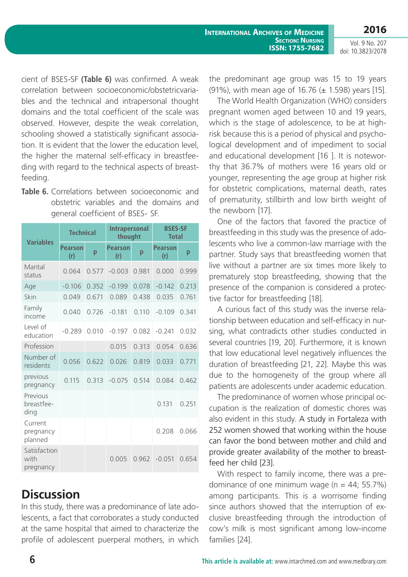cient of BSES-SF **(Table 6)** was confirmed. A weak correlation between socioeconomic/obstetricvariables and the technical and intrapersonal thought domains and the total coefficient of the scale was observed. However, despite the weak correlation, schooling showed a statistically significant association. It is evident that the lower the education level, the higher the maternal self-efficacy in breastfeeding with regard to the technical aspects of breastfeeding.

**Table 6.** Correlations between socioeconomic and obstetric variables and the domains and general coefficient of BSES- SF.

| <b>Variables</b>                  | <b>Technical</b>      |       | <b>Intrapersonal</b><br>thought |       | <b>BSES-SF</b><br><b>Total</b> |       |
|-----------------------------------|-----------------------|-------|---------------------------------|-------|--------------------------------|-------|
|                                   | <b>Pearson</b><br>(r) | p     | <b>Pearson</b><br>(r)           | p     | <b>Pearson</b><br>(r)          | p     |
| Marital<br>status                 | 0.064                 | 0.577 | $-0.003$                        | 0.981 | 0.000                          | 0.999 |
| Age                               | $-0.106$              | 0.352 | $-0.199$                        | 0.078 | $-0.142$                       | 0.213 |
| Skin                              | 0.049                 | 0.671 | 0.089                           | 0.438 | 0.035                          | 0.761 |
| Family<br>income                  | 0.040                 | 0.726 | $-0.181$                        | 0.110 | $-0.109$                       | 0.341 |
| Level of<br>education             | $-0.289$              | 0.010 | $-0.197$                        | 0.082 | $-0.241$                       | 0.032 |
| Profession                        |                       |       | 0.015                           | 0.313 | 0.054                          | 0.636 |
| Number of<br>residents            | 0.056                 | 0.622 | 0.026                           | 0.819 | 0.033                          | 0.771 |
| previous<br>pregnancy             | 0.115                 | 0.313 | $-0.075$                        | 0.514 | 0.084                          | 0.462 |
| Previous<br>breastfee-<br>ding    |                       |       |                                 |       | 0.131                          | 0.251 |
| Current<br>pregnancy<br>planned   |                       |       |                                 |       | 0.208                          | 0.066 |
| Satisfaction<br>with<br>pregnancy |                       |       | 0.005                           | 0.962 | $-0.051$                       | 0.654 |

## **Discussion**

In this study, there was a predominance of late adolescents, a fact that corroborates a study conducted at the same hospital that aimed to characterize the profile of adolescent puerperal mothers, in which the predominant age group was 15 to 19 years (91%), with mean age of 16.76 (± 1.598) years [15].

The World Health Organization (WHO) considers pregnant women aged between 10 and 19 years, which is the stage of adolescence, to be at highrisk because this is a period of physical and psychological development and of impediment to social and educational development [16 ]. It is noteworthy that 36.7% of mothers were 16 years old or younger, representing the age group at higher risk for obstetric complications, maternal death, rates of prematurity, stillbirth and low birth weight of the newborn [17].

One of the factors that favored the practice of breastfeeding in this study was the presence of adolescents who live a common-law marriage with the partner. Study says that breastfeeding women that live without a partner are six times more likely to prematurely stop breastfeeding, showing that the presence of the companion is considered a protective factor for breastfeeding [18].

A curious fact of this study was the inverse relationship between education and self-efficacy in nursing, what contradicts other studies conducted in several countries [19, 20]. Furthermore, it is known that low educational level negatively influences the duration of breastfeeding [21, 22]. Maybe this was due to the homogeneity of the group where all patients are adolescents under academic education.

The predominance of women whose principal occupation is the realization of domestic chores was also evident in this study. A study in Fortaleza with 252 women showed that working within the house can favor the bond between mother and child and provide greater availability of the mother to breastfeed her child [23].

With respect to family income, there was a predominance of one minimum wage ( $n = 44$ ; 55.7%) among participants. This is a worrisome finding since authors showed that the interruption of exclusive breastfeeding through the introduction of cow's milk is most significant among low-income families [24].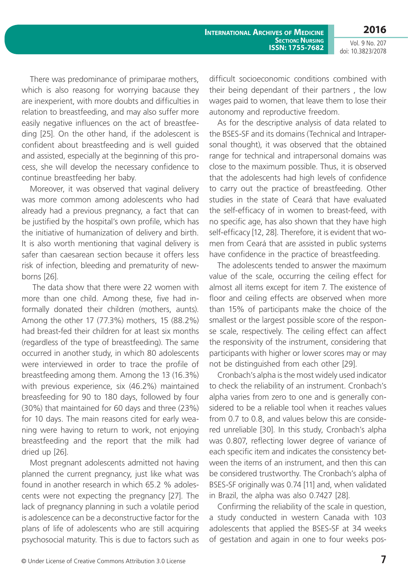**2016**

Vol. 9 No. 207 doi: 10.3823/2078

There was predominance of primiparae mothers, which is also reasong for worrying bacause they are inexperient, with more doubts and difficulties in relation to breastfeeding, and may also suffer more easily negative influences on the act of breastfeeding [25]. On the other hand, if the adolescent is confident about breastfeeding and is well guided and assisted, especially at the beginning of this process, she will develop the necessary confidence to continue breastfeeding her baby.

Moreover, it was observed that vaginal delivery was more common among adolescents who had already had a previous pregnancy, a fact that can be justified by the hospital's own profile, which has the initiative of humanization of delivery and birth. It is also worth mentioning that vaginal delivery is safer than caesarean section because it offers less risk of infection, bleeding and prematurity of newborns [26].

 The data show that there were 22 women with more than one child. Among these, five had informally donated their children (mothers, aunts). Among the other 17 (77.3%) mothers, 15 (88.2%) had breast-fed their children for at least six months (regardless of the type of breastfeeding). The same occurred in another study, in which 80 adolescents were interviewed in order to trace the profile of breastfeeding among them. Among the 13 (16.3%) with previous experience, six (46.2%) maintained breasfeeding for 90 to 180 days, followed by four (30%) that maintained for 60 days and three (23%) for 10 days. The main reasons cited for early weaning were having to return to work, not enjoying breastfeeding and the report that the milk had dried up [26].

Most pregnant adolescents admitted not having planned the current pregnancy, just like what was found in another research in which 65.2 % adolescents were not expecting the pregnancy [27]. The lack of pregnancy planning in such a volatile period is adolescence can be a deconstructive factor for the plans of life of adolescents who are still acquiring psychosocial maturity. This is due to factors such as difficult socioeconomic conditions combined with their being dependant of their partners , the low wages paid to women, that leave them to lose their autonomy and reproductive freedom.

As for the descriptive analysis of data related to the BSES-SF and its domains (Technical and Intrapersonal thought), it was observed that the obtained range for technical and intrapersonal domains was close to the maximum possible. Thus, it is observed that the adolescents had high levels of confidence to carry out the practice of breastfeeding. Other studies in the state of Ceará that have evaluated the self-efficacy of in women to breast-feed, with no specific age, has also shown that they have high self-efficacy [12, 28]. Therefore, it is evident that women from Ceará that are assisted in public systems have confidence in the practice of breastfeeding.

The adolescents tended to answer the maximum value of the scale, occurring the ceiling effect for almost all items except for item 7. The existence of floor and ceiling effects are observed when more than 15% of participants make the choice of the smallest or the largest possible score of the response scale, respectively. The ceiling effect can affect the responsivity of the instrument, considering that participants with higher or lower scores may or may not be distinguished from each other [29].

Cronbach's alpha is the most widely used indicator to check the reliability of an instrument. Cronbach's alpha varies from zero to one and is generally considered to be a reliable tool when it reaches values from 0.7 to 0.8, and values below this are considered unreliable [30]. In this study, Cronbach's alpha was 0.807, reflecting lower degree of variance of each specific item and indicates the consistency between the items of an instrument, and then this can be considered trustworthy. The Cronbach's alpha of BSES-SF originally was 0.74 [11] and, when validated in Brazil, the alpha was also 0.7427 [28].

Confirming the reliability of the scale in question, a study conducted in western Canada with 103 adolescents that applied the BSES-SF at 34 weeks of gestation and again in one to four weeks pos-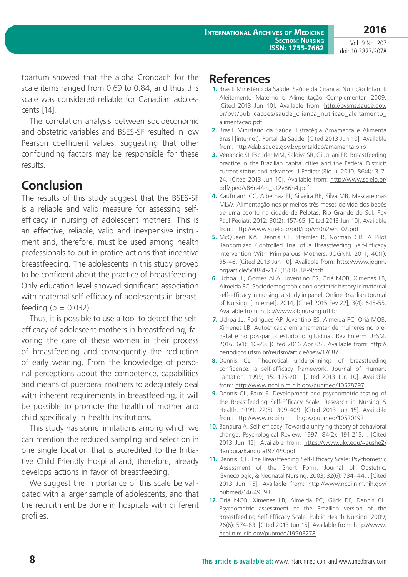**2016**

Vol. 9 No. 207 doi: 10.3823/2078

tpartum showed that the alpha Cronbach for the scale items ranged from 0.69 to 0.84, and thus this scale was considered reliable for Canadian adolescents [14].

The correlation analysis between socioeconomic and obstetric variables and BSES-SF resulted in low Pearson coefficient values, suggesting that other confounding factors may be responsible for these results.

### **Conclusion**

The results of this study suggest that the BSES-SF is a reliable and valid measure for assessing selfefficacy in nursing of adolescent mothers. This is an effective, reliable, valid and inexpensive instrument and, therefore, must be used among health professionals to put in pratice actions that incentive breastfeeding. The adolescents in this study proved to be confident about the practice of breastfeeding. Only education level showed significant association with maternal self-efficacy of adolescents in breastfeeding ( $p = 0.032$ ).

Thus, it is possible to use a tool to detect the selfefficacy of adolescent mothers in breastfeeding, favoring the care of these women in their process of breastfeeding and consequently the reduction of early weaning. From the knowledge of personal perceptions about the competence, capabilities and means of puerperal mothers to adequately deal with inherent requirements in breastfeeding, it will be possible to promote the health of mother and child specifically in health institutions.

This study has some limitations among which we can mention the reduced sampling and selection in one single location that is accredited to the Initiative Child Friendly Hospital and, therefore, already develops actions in favor of breastfeeding.

We suggest the importance of this scale be validated with a larger sample of adolescents, and that the recruitment be done in hospitals with different profiles.

#### **References**

- **1.** Brasil. Ministério da Saúde. Saúde da Criança: Nutrição Infantil: Aleitamento Materno e Alimentação Complementar. 2009, [Cited 2013 Jun 10]. Available from: [http://bvsms.saude.gov.](http://bvsms.saude.gov.br/bvs/publicacoes/saude_crianca_nutricao_aleitamento_alimentacao.pdf) [br/bvs/publicacoes/saude\\_crianca\\_nutricao\\_aleitamento\\_](http://bvsms.saude.gov.br/bvs/publicacoes/saude_crianca_nutricao_aleitamento_alimentacao.pdf) [alimentacao.pdf](http://bvsms.saude.gov.br/bvs/publicacoes/saude_crianca_nutricao_aleitamento_alimentacao.pdf)
- **2.** Brasil. Ministério da Saúde. Estratégia Amamenta e Alimenta Brasil [internet]. Portal da Saúde. [Cited 2013 Jun 10]. Available from:<http://dab.saude.gov.br/portaldab/amamenta.php>
- **3.** Venancio SI, Escuder MM, Saldiva SR, Giugliani ER. Breastfeeding practice in the Brazilian capital cities and the Federal District: current status and advances. J Pediatr (Rio J). 2010; 86(4): 317- 24. [Cited 2013 Jun 10]. Available from: [http://www.scielo.br/](http://www.scielo.br/pdf/jped/v86n4/en_a12v86n4.pdf) [pdf/jped/v86n4/en\\_a12v86n4.pdf](http://www.scielo.br/pdf/jped/v86n4/en_a12v86n4.pdf)
- **4.** Kaufmann CC, Albernaz EP, Silveira RB, Silva MB, Mascarenhas MLW. Alimentação nos primeiros três meses de vida dos bebês de uma coorte na cidade de Pelotas, Rio Grande do Sul. Rev Paul Pediatr. 2012; 30(2): 157-65. [Cited 2013 Jun 10]. Available from: [http://www.scielo.br/pdf/rpp/v30n2/en\\_02.pdf](http://www.scielo.br/pdf/rpp/v30n2/en_02.pdf)
- **5.** McQueen KA, Dennis CL, Stremler R, Norman CD. A Pilot Randomized Controlled Trial of a Breastfeeding Self-Efficacy Intervention With Primiparous Mothers. JOGNN. 2011; 40(1): 35-46. [Cited 2013 Jun 10]. Avaliable from: [http://www.jognn.](http://www.jognn.org/article/S0884-2175(15)30518-9/pdf) [org/article/S0884-2175\(15\)30518-9/pdf](http://www.jognn.org/article/S0884-2175(15)30518-9/pdf)
- **6.** Uchoa JL, Gomes ALA, Joventino ES, Oriá MOB, Ximenes LB, Almeida PC. Sociodemographic and obstetric history in maternal self-efficacy in nursing: a study in panel. Online Brazilian Journal of Nursing. [ Internet]. 2014, [Cited 2015 Fev 22]; 3(4): 645-55. Available from:<http://www.objnursing.uff.br>
- **7.** Uchoa JL, Rodrigues AP, Joventino ES, Almeida PC, Oriá MOB, Ximenes LB. Autoeficácia em amamentar de mulheres no prénatal e no pós-parto: estudo longitudinal. Rev Enferm UFSM. 2016, 6(1): 10-20. [Cited 2016 Abr 05]. Available from: [http://](http://periodicos.ufsm.br/reufsm/article/view/17687) [periodicos.ufsm.br/reufsm/article/view/17687](http://periodicos.ufsm.br/reufsm/article/view/17687)
- **8.** Dennis CL. Theoretical underpinnings of breastfeeding confidence: a self-efficacy framework. Journal of Human. Lactation. 1999; 15: 195-201. [Cited 2013 Jun 10]. Available from:<http://www.ncbi.nlm.nih.gov/pubmed/10578797>
- **9.** Dennis CL, Faux S. Development and psychometric testing of the Breastfeeding Self-Efficacy Scale. Research in Nursing & Health. 1999; 22(5): 399-409. [Cited 2013 Jun 15]. Available from:<http://www.ncbi.nlm.nih.gov/pubmed/10520192>
- **10.** Bandura A. Self-efficacy: Toward a unifying theory of behavioral change. Psychological Review. 1997; 84(2): 191-215. . [Cited 2013 Jun 15]. Available from: [https://www.uky.edu/~eushe2/](https://www.uky.edu/~eushe2/Bandura/Bandura1977PR.pdf) [Bandura/Bandura1977PR.pdf](https://www.uky.edu/~eushe2/Bandura/Bandura1977PR.pdf)
- **11.** Dennis, CL. The Breastfeeding Self-Efficacy Scale: Psychometric Assessment of the Short Form. Journal of Obstetric, Gynecologic, & Neonatal Nursing. 2003; 32(6): 734–44. . [Cited 2013 Jun 15]. Available from: [http://www.ncbi.nlm.nih.gov/](http://www.ncbi.nlm.nih.gov/pubmed/14649593) [pubmed/14649593](http://www.ncbi.nlm.nih.gov/pubmed/14649593)
- **12.** Oriá MOB, Ximenes LB, Almeida PC, Glick DF, Dennis CL. Psychometric assessment of the Brazilian version of the Breastfeeding Self-Efficacy Scale. Public Health Nursing. 2009; 26(6): 574-83. [Cited 2013 Jun 15]. Available from: [http://www.](http://www.ncbi.nlm.nih.gov/pubmed/19903278) [ncbi.nlm.nih.gov/pubmed/19903278](http://www.ncbi.nlm.nih.gov/pubmed/19903278)